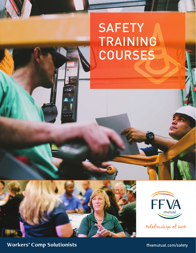# **SAFETY** TRAINING **COURSES**





relationships at Work

**Workers' Comp Solutionists** *Morkers' Comp Solutionists numerical component in the system of the state of the state of the state of the state of the state of the state of the state of the state of the state of the st*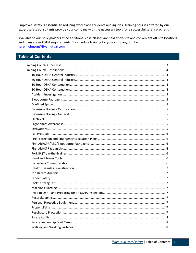Employee safety is essential to reducing workplace accidents and injuries. Training courses offered by our expert safety consultants provide your company with the necessary tools for a successful safety program.

Available to our policyholders at no additional cost, classes are held at on-site and convenient off-site locations and many cover OSHA requirements. To schedule training for your company, contact karen.johnson@ffvamutual.com.

#### **Table of Contents**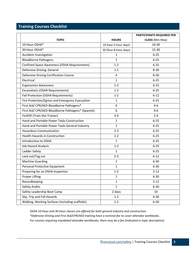### <span id="page-2-0"></span>**Training Courses Checklist**

|                                                     |                       | PARTICIPANTS REQUIRED PER |
|-----------------------------------------------------|-----------------------|---------------------------|
| <b>TOPIC</b>                                        | <b>HOURS</b>          | <b>CLASS</b> (Min-Max)    |
| 10-Hour OSHA*                                       | 10 (two 5-hour days)  | $10 - 30$                 |
| 30-Hour OSHA*                                       | 30 (four 8-hour days) | $15 - 30$                 |
| Accident Investigation                              | $\mathbf{1}$          | $6 - 25$                  |
| <b>Bloodborne Pathogens</b>                         | $\mathbf{1}$          | $6 - 25$                  |
| <b>Confined Space Awareness (OSHA Requirements)</b> | $1 - 2$               | $6 - 25$                  |
| Defensive Driving, General                          | 1.5                   | $8 - 30$                  |
| Defensive Driving Certification Course              | 4                     | $8 - 30$                  |
| Electrical                                          | 1                     | $6 - 25$                  |
| <b>Ergonomics Awareness</b>                         | $1 - 2$               | $6 - 25$                  |
| <b>Excavations (OSHA Requirements)</b>              | $1 - 2$               | $6 - 25$                  |
| Fall Protection (OSHA Requirements)                 | $1 - 2$               | $6 - 12$                  |
| Fire Protection/Egress and Emergency Evacuation     | 1                     | $6 - 25$                  |
| First Aid/ CPR/AED Bloodborne Pathogens*            | 6                     | $4 - 6$                   |
| First Aid/ CPR/AED Bloodborne Pathogens* (Spanish)  | 6                     | $4 - 6$                   |
| Forklift (Train-the-Trainer)                        | $3 - 4$               | $2 - 4$                   |
| Hand and Portable Power Tools-Construction          | 1                     | $6 - 25$                  |
| Hand and Portable Power Tools-General Industry      | $\mathbf{1}$          | $6 - 25$                  |
| <b>Hazardous Communication</b>                      | $2 - 3$               | $6 - 25$                  |
| <b>Health Hazards in Construction</b>               | $1 - 2$               | $6 - 25$                  |
| Introduction to OSHA                                | $\mathbf{1}$          | $6 - 25$                  |
| <b>Job Hazard Analysis</b>                          | $1 - 2$               | $6 - 25$                  |
| Ladder Safety                                       | 1                     | $6 - 25$                  |
| Lock out/Tag out                                    | $2 - 3$               | $6 - 12$                  |
| <b>Machine Guarding</b>                             | $\mathbf{1}$          | $6 - 30$                  |
| Personal Protective Equipment                       | 1                     | $6 - 30$                  |
| Preparing for an OSHA Inspection                    | $1 - 2$               | $2 - 12$                  |
| <b>Proper Lifting</b>                               | 1                     | 6-30                      |
| Recordkeeping                                       | $\mathbf{1}$          | $2 - 12$                  |
| Safety Audits                                       | $\mathbf{1}$          | $6 - 30$                  |
| Safety Leadership Boot Camp                         | 2 days                | 10                        |
| Slip, Trip and Fall Hazards                         | $1 - 2$               | $6 - 30$                  |
| Walking, Working Surfaces (including scaffolds)     | $1 - 2$               | $6 - 30$                  |

*OSHA 10-Hour and 30-Hour classes are offered for both general industry and construction. \*Defensive Driving and First-Aid/CPR/AED training have a nominal fee to cover attendee workbooks. For courses requiring mandated attendee workbooks, there may be a fee (indicated in topic description).*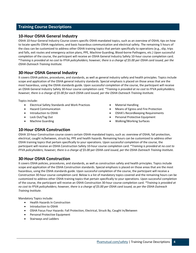#### <span id="page-3-0"></span>**Training Course Descriptions**

#### <span id="page-3-1"></span>**10-Hour OSHA General Industry**

OSHA 10-hour General Industry Course covers specific OSHA-mandated topics, such as an overview of OSHA, tips on how to locate specific OSHA regulations, and basic hazardous communication and electrical safety. The remaining 5 hours of the class can be customized to address other OSHA training topics that pertain specifically to operations (e.g., slip, trips and falls, exit routes and emergency action plans, PPE, Machine Guarding, Blood-borne Pathogens, etc.) Upon successful completion of the course, the participant will receive an OSHA General Industry Safety 10-hour course completion card. \**Training is provided at no cost to FFVA policyholders; however, there is a charge of \$5.00 per OSHA card issued, per the OSHA Outreach Training Institute.*

#### <span id="page-3-2"></span>**30-Hour OSHA General Industry**

It covers OSHA policies, procedures, and standards, as well as general industry safety and health principles. Topics include scope and application of the OSHA general industry standards. Special emphasis is placed on those areas that are the most hazardous, using the OSHA standards guide. Upon successful completion of the course, the participant will receive an OSHA General Industry Safety 30-hour course completion card. *\*Training is provided at no cost to FFVA policyholders; however, there is a charge of \$5.00 for each OSHA card issued, per the OSHA Outreach Training Institute.*

Topics include:

- Electrical Safety Standards and Work Practices
- Hazard Communication
- Introduction to OSHA
- Lock Out/Tag Out
- Machine Guarding
- Material Handling
- Means of Egress and Fire Protection
- OSHA's Recordkeeping Requirements
- Personal Protective Equipment
- Walking/Working Surfaces

#### <span id="page-3-3"></span>**10-Hour OSHA Construction**

OSHA 10-hour Construction course covers certain OSHA-mandated topics, such as: overview of OSHA, fall protection, electrical, caught in/between, struck by, PPE and health hazards. Remaining hours can be customized to address other OSHA training topics that pertain specifically to your operations. Upon successful completion of the course, the participant will receive an OSHA Construction Safety 10-hour course completion card. \**Training is provided at no cost to FFVA policyholders; however, there is a charge of \$5.00 per OSHA card issued, per the OSHA Outreach Training Institute.*

#### <span id="page-3-4"></span>**30-Hour OSHA Construction**

It covers OSHA policies, procedures, and standards, as well as construction safety and health principles. Topics include scope and application of the OSHA Construction standards. Special emphasis is placed on those areas that are the most hazardous, using the OSHA standards guide. Upon successful completion of the course, the participant will receive a Construction 30-hour course completion card. Below is a list of mandatory topics covered and the remaining hours can be customized to address other OSHA training topics that pertain specifically to your operations. Upon successful completion of the course, the participant will receive an OSHA Construction 30-hour course completion card. *\*Training is provided at no cost to FFVA policyholders; however, there is a charge of \$5.00 per OSHA card issued, as per the OSHA Outreach Training Institute.*

Mandatory Topics include:

- Health Hazards In Construction
- Introduction to OSHA
- OSHA Focus Four Hazards: Fall Protection, Electrical, Struck By, Caught In/Between
- Personal Protective Equipment
- Stairways and Ladders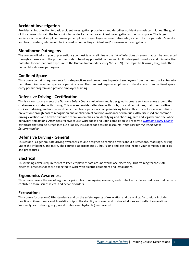#### <span id="page-4-0"></span>**Accident Investigation**

Provides an introduction to basic accident investigation procedures and describes accident analysis techniques. The goal of this course is to gain the basic skills to conduct an effective accident investigation at their workplace. The target audience is the small employer, manager, employee or employee representative who, as part of an organization's safety and health system; who would be involved in conducting accident and/or near-miss investigations.

#### <span id="page-4-1"></span>**Bloodborne Pathogens**

The course will inform you of precautions you must take to eliminate the risk of infectious diseases that can be contracted through exposure and the proper methods of handling potential contaminants. It is designed to reduce and minimize the potential for occupational exposure to the Human Immunodeficiency Virus (HIV), the Hepatitis B Virus (HBV), and other human blood-borne pathogens.

#### <span id="page-4-2"></span>**Confined Space**

This course contains requirements for safe practices and procedures to protect employees from the hazards of entry into permit-required confined spaces or permit spaces. The standard requires employers to develop a written confined space entry permit program and provide employee training.

#### <span id="page-4-3"></span>**Defensive Driving - Certification**

This is 4-hour course meets the *National Safety Council* guidelines and is designed to create self-awareness around the challenges associated with driving. This course provides attendees with tools, tips and techniques, that offer positive choices to driving, and motivates drivers to embrace personal change in driving habits. This course focuses on collision prevention through hazard recognition and application of collision-avoidance techniques. Also discussed are common driving violations and how to eliminate them. An emphasis on identifying and choosing, safe and legal behind-the-wheel behaviors and actions. Attendees receive course workbooks and upon completion will receive a *[National Safety Council](http://www.nsc.org/pages/home.aspx)* certificate that can be turned into auto liability insurance for possible discounts. *\*The cost for the workbook is \$6.00/attendee.*

#### <span id="page-4-4"></span>**Defensive Driving - General**

This course is a general safe driving awareness course designed to remind drivers about distractions, road rage, driving under the influence, and more. The course is approximately 2-hours long and can also include your company's policies and procedures.

#### <span id="page-4-5"></span>**Electrical**

This training covers requirements to keep employees safe around workplace electricity. This training teaches safe electrical practices for those expected to work with electric equipment and installations.

#### <span id="page-4-6"></span>**Ergonomics Awareness**

This course covers the use of ergonomic principles to recognize, evaluate, and control work place conditions that cause or contribute to musculoskeletal and nerve disorders.

#### <span id="page-4-7"></span>**Excavations**

This course focuses on OSHA standards and on the safety aspects of excavation and trenching. Discussions include practical soil mechanics and its relationship to the stability of shored and unshored slopes and walls of excavations. Various types of shoring (e.g., wood timbers and hydraulic) are covered.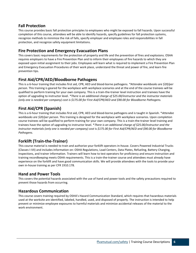#### <span id="page-5-0"></span>**Fall Protection**

This course provides basic fall protection principles to employees who might be exposed to fall hazards. Upon successful completion of this course, attendees will be able to identify hazards, specify guidelines for fall protection systems, recognize methods to minimize the risk of falls, specify employer and employee roles and responsibilities in fall protection, and recognize safety equipment limitations.

#### <span id="page-5-1"></span>**Fire Protection and Emergency Evacuation Plans**

This covers basic requirements for the protection of property and life and the prevention of fires and explosions. OSHA requires employers to have a Fire Prevention Plan and to inform their employees of fire hazards to which they are exposed upon initial assignment to their jobs. Employees will learn what is required to implement a Fire Prevention Plan and Emergency Evacuation Procedures of their work place, understand the threat and power of fire, and learn fire prevention tips.

#### <span id="page-5-2"></span>**First Aid/CPR/AED/Bloodborne Pathogens**

This is a 6-hour training that includes first aid, CPR, AED and blood-borne pathogens. *\*Attendee workbooks are \$20/per person*. This training is geared for the workplace with workplace scenarios and at the end of the course trainees will be qualified to perform training for your own company. This is a train-the-trainer level instruction and trainees have the option of upgrading to instructor level. *\*There is an additional charge of \$25.00/instructor and the instructor materials (only one is needed per company) cost is \$175.00 for First Aid/CPR/AED and \$90.00 for Bloodborne Pathogens.*

#### <span id="page-5-3"></span>**First Aid/CPR (Spanish)**

This is a 6-hour training that includes first aid, CPR, AED and blood-borne pathogens and is taught in Spanish. \**Attendee workbooks are \$20/per person*. This training is designed for the workplace with workplace scenarios. Upon completion course trainees will be qualified to perform training for your own company. This is a train-the-trainer level training and trainees have the option of upgrading to instructor level. \**There is an additional charge of \$25.00/instructor and the instructor materials (only one is needed per company) cost is \$175.00 for First Aid/CPR/AED and \$90.00 for Bloodborne Pathogens.*

#### <span id="page-5-4"></span>**Forklift (Train-the-Trainer)**

This course material is needed to train and authorize your forklift operators in-house. Covers Powered Industrial Trucks (Classes I-VII) and includes information on: OSHA Regulations, Load Centers, Data Plates, Refueling, Battery Charging, Inspections, and trainer information. Trainers will learn how to test operators for proficiency and ensure instruction and training recordkeeping meets OSHA requirements. This is a train-the-trainer course and attendees must already have experience on the forklift and have good communication skills. We will provide attendees with the tools to provide your own in-house training as per CFR 1910.178.

#### <span id="page-5-5"></span>**Hand and Power Tools**

This covers the potential hazards associated with the use of hand and power tools and the safety precautions required to prevent those hazards from occurring.

#### <span id="page-5-6"></span>**Hazardous Communication**

This course covers training required by OSHA's Hazard Communication Standard, which requires that hazardous materials used at the worksite are identified, labeled, handled, used, and disposed of properly. The instruction is intended to help prevent or minimize employee exposures to harmful materials and minimize accidental releases of the material to the work environment.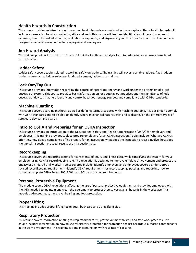#### <span id="page-6-0"></span>**Health Hazards in Construction**

This course provides an introduction to common health hazards encountered in the workplace. These health hazards will include exposure to chemicals, asbestos, silica and lead. This course will feature: identification of hazard; sources of exposure; health hazard information; evaluation of exposure; and engineering and work practice controls. This course is designed as an awareness course for employers and employees.

#### <span id="page-6-1"></span>**Job Hazard Analysis**

This training provides instruction on how to fill out the Job Hazard Analysis form to reduce injury exposure associated with job tasks.

#### <span id="page-6-2"></span>**Ladder Safety**

Ladder safety covers topics related to working safely on ladders. The training will cover: portable ladders, fixed ladders, ladder maintenance, ladder selection, ladder placement, ladder care and use.

#### <span id="page-6-3"></span>**Lock Out/Tag Out**

This course provides information regarding the control of hazardous energy and work under the protection of a lock out/tag out system. This course provides basic information on lock out/tag out practices and the significance of lock out/tag out devices that help identify and control hazardous energy sources, and compliance with OSHA standards.

#### <span id="page-6-4"></span>**Machine Guarding**

This course covers guarding methods, as well as defining terms associated with machine guarding. It is designed to comply with OSHA standards and to be able to identify where mechanical hazards exist and to distinguish the different types of safeguard devices and guards.

#### <span id="page-6-5"></span>**Intro to OSHA and Preparing for an OSHA Inspection**

This course provides an introduction to the Occupational Safety and Health Administration (OSHA) for employers and employees. This training provides tools to prepare employers for an OSHA inspection. Topics include: What are OSHA's priorities, how does a compliance office prepare for an inspection, what does the inspection process involve, how does the typical inspection proceed, results of an inspection, etc.

#### <span id="page-6-6"></span>**Recordkeeping**

This course covers the reporting criteria for consistency of injury and illness data, while simplifying the system for your employer using OSHA's recordkeeping rule. The regulation is designed to improve employee involvement and protect the privacy of an injured or ill worker. Topics covered include: Identify employers and employees covered under OSHA's revised recordkeeping requirements, identify OSHA requirements for recordkeeping, posting, and reporting, how to correctly complete OSHA Forms 300, 300A, and 301, and posting requirements.

#### <span id="page-6-7"></span>**Personal Protective Equipment**

The module covers OSHA regulations affecting the use of personal protective equipment and provides employees with the skills needed to maintain and clean the equipment to protect themselves against hazards in the workplace. This module addresses head, hand, eye, hearing and foot protection.

#### <span id="page-6-8"></span>**Proper Lifting**

This training includes proper lifting techniques, back care and using lifting aids.

#### <span id="page-6-9"></span>**Respiratory Protection**

This course covers information relating to respiratory hazards, protection mechanisms, and safe work practices. The course includes information on how to use respiratory protection for protection against hazardous airborne contaminants in the work environment. This training is done in conjunction with respirator fit testing.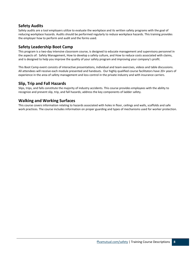#### <span id="page-7-0"></span>**Safety Audits**

Safety audits are a tool employers utilize to evaluate the workplace and its written safety programs with the goal of reducing workplace hazards. Audits should be performed regularly to reduce workplace hazards. This training provides the employer how to perform and audit and the forms used.

#### <span id="page-7-1"></span>**Safety Leadership Boot Camp**

This program is a two-day intensive classroom course, is designed to educate management and supervisory personnel in the aspects of: Safety Management, How to develop a safety culture, and How to reduce costs associated with claims, and is designed to help you improve the quality of your safety program and improving your company's profit.

This Boot Camp event consists of interactive presentations, individual and team exercises, videos and table discussions. All attendees will receive each module presented and handouts. Our highly qualified course facilitators have 20+ years of experience in the area of safety management and loss control in the private industry and with insurance carriers.

#### **Slip, Trip and Fall Hazards**

Slips, trips, and falls constitute the majority of industry accidents. This course provides employees with the ability to recognize and prevent slip, trip, and fall hazards; address the key components of ladder safety.

#### <span id="page-7-2"></span>**Walking and Working Surfaces**

This course covers information relating to hazards associated with holes in floor, ceilings and walls, scaffolds and safe work practices. The course includes information on proper guarding and types of mechanisms used for worker protection.